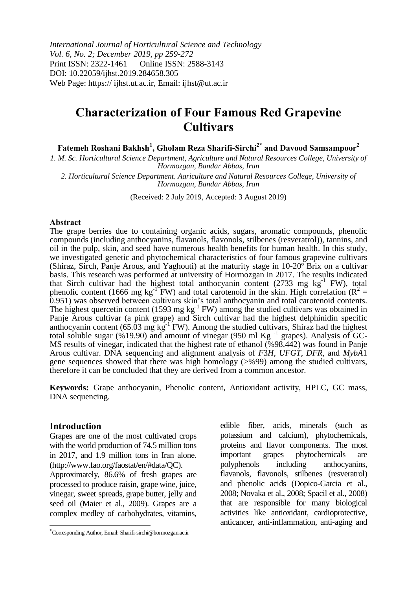*International Journal of Horticultural Science and Technology Vol. 6, No. 2; December 2019, pp 259-272* Print ISSN: 2322-1461 Online ISSN: 2588-3143 DOI: 10.22059/ijhst.2019.284658.305 Web Page: https:// ijhst.ut.ac.ir, Email: ijhst@ut.ac.ir

# **Characterization of Four Famous Red Grapevine Cultivars**

**Fatemeh Roshani Bakhsh<sup>1</sup> , Gholam Reza Sharifi-Sirchi2\* and Davood Samsampoor<sup>2</sup>**

*1. M. Sc. Horticultural Science Department, Agriculture and Natural Resources College, University of Hormozgan, Bandar Abbas, Iran*

*2. Horticultural Science Department, Agriculture and Natural Resources College, University of Hormozgan, Bandar Abbas, Iran*

(Received: 2 July 2019, Accepted: 3 August 2019)

#### **Abstract**

The grape berries due to containing organic acids, sugars, aromatic compounds, phenolic compounds (including anthocyanins, flavanols, flavonols, stilbenes (resveratrol)), tannins, and oil in the pulp, skin, and seed have numerous health benefits for human health. In this study, we investigated genetic and phytochemical characteristics of four famous grapevine cultivars (Shiraz, Sirch, Panje Arous, and Yaghouti) at the maturity stage in 10-20º Brix on a cultivar basis. This research was performed at university of Hormozgan in 2017. The results indicated that Sirch cultivar had the highest total anthocyanin content  $(2733 \text{ mg kg}^{-1}$  FW), total phenolic content (1666 mg kg<sup>-1</sup>FW) and total carotenoid in the skin. High correlation ( $R^2 =$ 0.951) was observed between cultivars skin's total anthocyanin and total carotenoid contents. The highest quercetin content (1593 mg  $kg^{-1}$  FW) among the studied cultivars was obtained in Panje Arous cultivar (a pink grape) and Sirch cultivar had the highest delphinidin specific anthocyanin content ( $65.03$  mg kg<sup>-1</sup> FW). Among the studied cultivars, Shiraz had the highest total soluble sugar (%19.90) and amount of vinegar (950 ml Kg<sup>-1</sup> grapes). Analysis of GC-MS results of vinegar, indicated that the highest rate of ethanol (%98.442) was found in Panje Arous cultivar. DNA sequencing and alignment analysis of *F*3*H*, *UFGT*, *DFR*, and *MybA*1 gene sequences showed that there was high homology (>%99) among the studied cultivars, therefore it can be concluded that they are derived from a common ancestor.

**Keywords:** Grape anthocyanin, Phenolic content, Antioxidant activity, HPLC, GC mass, DNA sequencing.

### **Introduction**

 $\overline{a}$ 

Grapes are one of the most cultivated crops with the world production of 74.5 million tons in 2017, and 1.9 million tons in Iran alone. (http://www.fao.org/faostat/en/#data/QC).

Approximately, 86.6% of fresh grapes are processed to produce raisin, grape wine, juice, vinegar, sweet spreads, grape butter, jelly and seed oil (Maier et al., 2009). Grapes are a complex medley of carbohydrates, vitamins,

edible fiber, acids, minerals (such as potassium and calcium), phytochemicals, proteins and flavor components. The most important grapes phytochemicals are polyphenols including anthocyanins, flavanols, flavonols, stilbenes (resveratrol) and phenolic acids (Dopico-Garcia et al., 2008; Novaka et al., 2008; Spacil et al., 2008) that are responsible for many biological activities like antioxidant, cardioprotective, anticancer, anti-inflammation, anti-aging and

**<sup>\*</sup>** Corresponding Author, Email: Sharifi-sirchi@hormozgan.ac.ir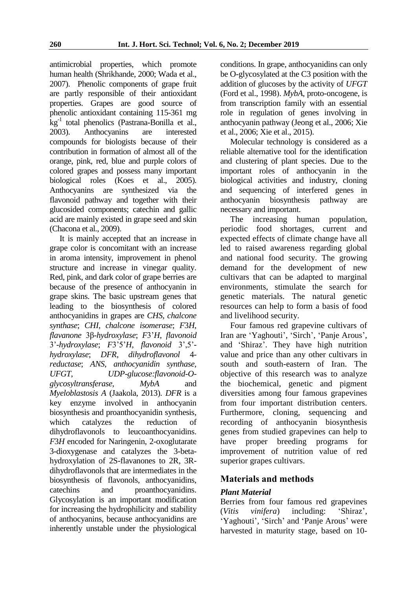antimicrobial properties, which promote human health (Shrikhande, 2000; Wada et al., 2007). Phenolic components of grape fruit are partly responsible of their antioxidant properties. Grapes are good source of phenolic antioxidant containing 115-361 mg kg-1 total phenolics (Pastrana-Bonilla et al., 2003). Anthocyanins are interested compounds for biologists because of their contribution in formation of almost all of the orange, pink, red, blue and purple colors of colored grapes and possess many important biological roles (Koes et al., 2005). Anthocyanins are synthesized via the flavonoid pathway and together with their glucosided components; catechin and gallic acid are mainly existed in grape seed and skin (Chacona et al., 2009).

It is mainly accepted that an increase in grape color is concomitant with an increase in aroma intensity, improvement in phenol structure and increase in vinegar quality. Red, pink, and dark color of grape berries are because of the presence of anthocyanin in grape skins. The basic upstream genes that leading to the biosynthesis of colored anthocyanidins in grapes are *CHS*, *chalcone synthase*; *CHI*, *chalcone isomerase*; *F*3*H*, *flavanone* 3β*-hydroxylase*; *F*3'*H*, *flavonoid* 3'-*hydroxylase*; *F*3'5'*H*, *flavonoid* 3',5' *hydroxylase*; *DFR*, *dihydroflavonol* 4 *reductase*; *ANS*, *anthocyanidin synthase*, *UFGT*, *UDP-glucose:flavonoid-Oglycosyltransferase*, *MybA* and *Myeloblastosis A* (Jaakola, 2013). *DFR* is a key enzyme involved in anthocyanin biosynthesis and proanthocyanidin synthesis, which catalyzes the reduction of dihydroflavonols to leucoanthocyanidins. *F*3*H* encoded for Naringenin, 2-oxoglutarate 3-dioxygenase and catalyzes the 3-betahydroxylation of 2S-flavanones to 2R, 3Rdihydroflavonols that are intermediates in the biosynthesis of flavonols, anthocyanidins, catechins and proanthocyanidins. Glycosylation is an important modification for increasing the hydrophilicity and stability of anthocyanins, because anthocyanidins are inherently unstable under the physiological

conditions. In grape, anthocyanidins can only be O-glycosylated at the C3 position with the addition of glucoses by the activity of *UFGT* (Ford et al., 1998). *MybA*, proto-oncogene, is from transcription family with an essential role in regulation of genes involving in anthocyanin pathway (Jeong et al., 2006; Xie et al., 2006; Xie et al., 2015).

Molecular technology is considered as a reliable alternative tool for the identification and clustering of plant species. Due to the important roles of anthocyanin in the biological activities and industry, cloning and sequencing of interfered genes in anthocyanin biosynthesis pathway are necessary and important.

The increasing human population, periodic food shortages, current and expected effects of climate change have all led to raised awareness regarding global and national food security. The growing demand for the development of new cultivars that can be adapted to marginal environments, stimulate the search for genetic materials. The natural genetic resources can help to form a basis of food and livelihood security.

Four famous red grapevine cultivars of Iran are 'Yaghouti', 'Sirch', 'Panje Arous', and 'Shiraz'. They have high nutrition value and price than any other cultivars in south and south-eastern of Iran. The objective of this research was to analyze the biochemical, genetic and pigment diversities among four famous grapevines from four important distribution centers. Furthermore, cloning, sequencing and recording of anthocyanin biosynthesis genes from studied grapevines can help to have proper breeding programs for improvement of nutrition value of red superior grapes cultivars.

# **Materials and methods**

# *Plant Material*

Berries from four famous red grapevines (*Vitis vinifera*) including: 'Shiraz', 'Yaghouti', 'Sirch' and 'Panje Arous' were harvested in maturity stage, based on 10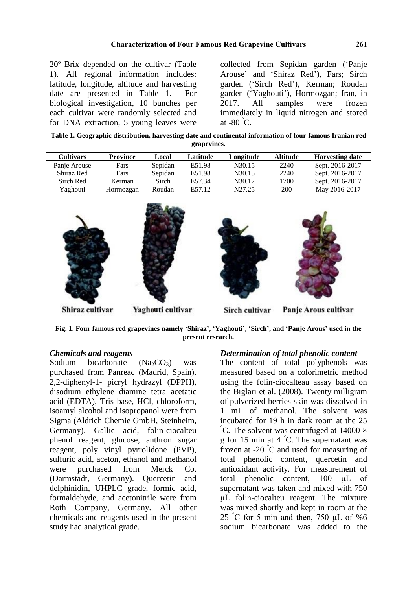20º Brix depended on the cultivar (Table 1). All regional information includes: latitude, longitude, altitude and harvesting date are presented in Table 1. For biological investigation, 10 bunches per each cultivar were randomly selected and for DNA extraction, 5 young leaves were

collected from Sepidan garden ('Panje Arouse' and 'Shiraz Red'), Fars; Sirch garden ('Sirch Red'), Kerman; Roudan garden ('Yaghouti'), Hormozgan; Iran, in 2017. All samples were frozen immediately in liquid nitrogen and stored at  $-80^\circ$ C.

**Table 1. Geographic distribution, harvesting date and continental information of four famous Iranian red grapevines.**

| <b>Cultivars</b> | <b>Province</b> | Local   | Latitude | Longitude          | <b>Altitude</b> | <b>Harvesting date</b> |
|------------------|-----------------|---------|----------|--------------------|-----------------|------------------------|
| Panje Arouse     | Fars            | Sepidan | E51.98   | N <sub>30.15</sub> | 2240            | Sept. 2016-2017        |
| Shiraz Red       | Fars            | Sepidan | E51.98   | N <sub>30.15</sub> | 2240            | Sept. 2016-2017        |
| Sirch Red        | Kerman          | Sirch   | E57.34   | N30.12             | 1700            | Sept. 2016-2017        |
| Yaghouti         | Hormozgan       | Roudan  | E57.12   | N27.25             | 200             | May 2016-2017          |



**Fig. 1. Four famous red grapevines namely 'Shiraz', 'Yaghouti', 'Sirch', and 'Panje Arous' used in the present research.**

# *Chemicals and reagents*

Sodium bicarbonate  $(Na_2CO_3)$  was purchased from Panreac (Madrid, Spain). 2,2-diphenyl-1- picryl hydrazyl (DPPH), disodium ethylene diamine tetra acetatic acid (EDTA), Tris base, HCl, chloroform, isoamyl alcohol and isopropanol were from Sigma (Aldrich Chemie GmbH, Steinheim, Germany). Gallic acid, folin-ciocalteu phenol reagent, glucose, anthron sugar reagent, poly vinyl pyrrolidone (PVP), sulfuric acid, aceton, ethanol and methanol were purchased from Merck Co. (Darmstadt, Germany). Quercetin and delphinidin, UHPLC grade, formic acid, formaldehyde, and acetonitrile were from Roth Company, Germany. All other chemicals and reagents used in the present study had analytical grade.

### *Determination of total phenolic content*

The content of total polyphenols was measured based on a colorimetric method using the folin-ciocalteau assay based on the Biglari et al. (2008). Twenty milligram of pulverized berries skin was dissolved in 1 mL of methanol. The solvent was incubated for 19 h in dark room at the 25 C. The solvent was centrifuged at  $14000 \times$ g for 15 min at 4 °C. The supernatant was frozen at -20 $\degree$ C and used for measuring of total phenolic content, quercetin and antioxidant activity. For measurement of total phenolic content, 100 μL of supernatant was taken and mixed with 750 μL folin-ciocalteu reagent. The mixture was mixed shortly and kept in room at the 25 °C for 5 min and then, 750  $\mu$ L of %6 sodium bicarbonate was added to the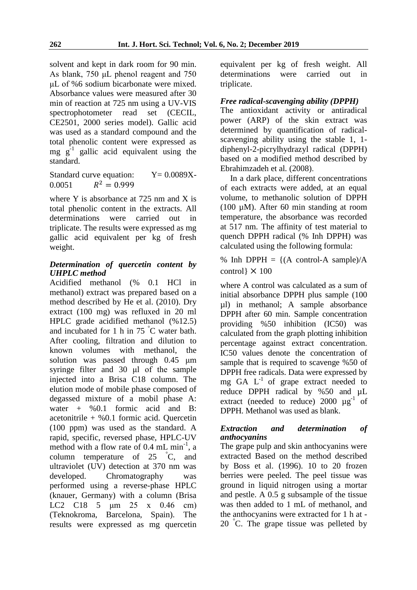solvent and kept in dark room for 90 min. As blank, 750 μL phenol reagent and 750 μL of %6 sodium bicarbonate were mixed. Absorbance values were measured after 30 min of reaction at 725 nm using a UV-VIS spectrophotometer read set (CECIL, CE2501, 2000 series model). Gallic acid was used as a standard compound and the total phenolic content were expressed as mg  $g^{-1}$  gallic acid equivalent using the standard.

Standard curve equation:  $Y = 0.0089X$ -0.0051  $R^2 = 0.999$ 

where Y is absorbance at 725 nm and X is total phenolic content in the extracts. All determinations were carried out in triplicate. The results were expressed as mg gallic acid equivalent per kg of fresh weight.

# *Determination of quercetin content by UHPLC method*

Acidified methanol (% 0.1 HCl in methanol) extract was prepared based on a method described by He et al. (2010). Dry extract (100 mg) was refluxed in 20 ml HPLC grade acidified methanol (%12.5) and incubated for 1 h in 75 °C water bath. After cooling, filtration and dilution to known volumes with methanol, the solution was passed through 0.45 μm syringe filter and 30 μl of the sample injected into a Brisa C18 column. The elution mode of mobile phase composed of degassed mixture of a mobil phase A: water + %0.1 formic acid and B: acetonitrile  $+$  %0.1 formic acid. Quercetin (100 ppm) was used as the standard. A rapid, specific, reversed phase, HPLC-UV method with a flow rate of 0.4 mL min<sup>-1</sup>, a column temperature of 25 °C, and ultraviolet (UV) detection at 370 nm was developed. Chromatography was performed using a reverse-phase HPLC (knauer, Germany) with a column (Brisa LC2 C18 5 μm 25 x 0.46 cm) (Teknokroma, Barcelona, Spain). The results were expressed as mg quercetin

equivalent per kg of fresh weight. All were carried out in triplicate.

# *Free radical-scavenging ability (DPPH)*

The antioxidant activity or antiradical power (ARP) of the skin extract was determined by quantification of radicalscavenging ability using the stable 1, 1 diphenyl-2-picrylhydrazyl radical (DPPH) based on a modified method described by Ebrahimzadeh et al*.* (2008).

In a dark place, different concentrations of each extracts were added, at an equal volume, to methanolic solution of DPPH (100 µM). After 60 min standing at room temperature, the absorbance was recorded at 517 nm. The affinity of test material to quench DPPH radical (% Inh DPPH) was calculated using the following formula:

% Inh DPPH =  $\{(A \text{ control-A sample})/A\}$ control}  $\times$  100

where A control was calculated as a sum of initial absorbance DPPH plus sample (100 µl) in methanol; A sample absorbance DPPH after 60 min. Sample concentration providing %50 inhibition (IC50) was calculated from the graph plotting inhibition percentage against extract concentration. IC50 values denote the concentration of sample that is required to scavenge %50 of DPPH free radicals. Data were expressed by mg GA  $L^{-1}$  of grape extract needed to reduce DPPH radical by %50 and µL extract (needed to reduce)  $2000 \text{ µg}^{-1}$  of DPPH. Methanol was used as blank.

### *Extraction and determination of anthocyanins*

The grape pulp and skin anthocyanins were extracted Based on the method described by Boss et al. (1996). 10 to 20 frozen berries were peeled. The peel tissue was ground in liquid nitrogen using a mortar and pestle. A 0.5 g subsample of the tissue was then added to 1 mL of methanol, and the anthocyanins were extracted for 1 h at - 20 °C. The grape tissue was pelleted by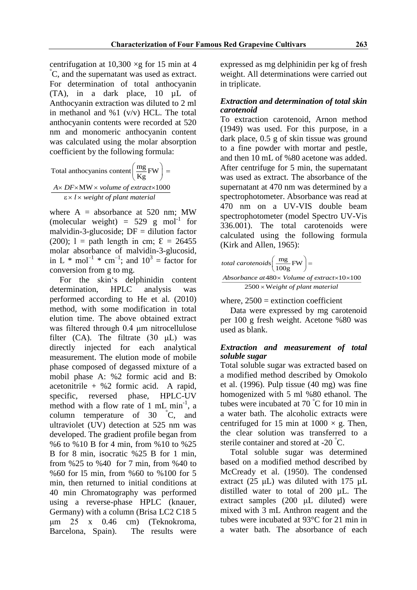centrifugation at  $10,300 \times g$  for 15 min at 4 °C, and the supernatant was used as extract. For determination of total anthocyanin (TA), in a dark place, 10 µL of Anthocyanin extraction was diluted to 2 ml in methanol and  $\%1$  (v/v) HCL. The total anthocyanin contents were recorded at 520 nm and monomeric anthocyanin content was calculated using the molar absorption coefficient by the following formula:

Total anthocyanins content 
$$
\left(\frac{mg}{Kg}FW\right)
$$
 =  
\n
$$
\frac{Ax \, DF \times MW \times volume \, of \, extract \times 1000}{\epsilon \times l \times weight \, of \, plant \, material}
$$

where  $A =$  absorbance at 520 nm; MW (molecular weight) =  $529$  g mol<sup>-1</sup> for malvidin-3-glucoside;  $DF =$  dilution factor (200);  $1 =$  path length in cm;  $\mathcal{E} = 26455$ molar absorbance of malvidin-3-glucosid, in L \* mol<sup>-1</sup> \* cm<sup>-1</sup>; and  $10^3$  = factor for conversion from g to mg.

For the skin's delphinidin content determination, HPLC analysis was performed according to He et al. (2010) method, with some modification in total elution time. The above obtained extract was filtered through 0.4 μm nitrocellulose filter (CA). The filtrate (30 μL) was directly injected for each analytical measurement. The elution mode of mobile phase composed of degassed mixture of a mobil phase A: %2 formic acid and B: acetonitrile  $+$  %2 formic acid. A rapid, specific, reversed phase, HPLC-UV method with a flow rate of 1 mL min<sup>-1</sup>, a column temperature of 30 °C, and ultraviolet (UV) detection at 525 nm was developed. The gradient profile began from %6 to %10 B for 4 min, from %10 to %25 B for 8 min, isocratic %25 B for 1 min, from %25 to %40 for 7 min, from %40 to %60 for l5 min, from %60 to %100 for 5 min, then returned to initial conditions at 40 min Chromatography was performed using a reverse-phase HPLC (knauer, Germany) with a column (Brisa LC2 C18 5 μm 25 x 0.46 cm) (Teknokroma, Barcelona, Spain). The results were

expressed as mg delphinidin per kg of fresh weight. All determinations were carried out in triplicate.

# *Extraction and determination of total skin carotenoid*

To extraction carotenoid, Arnon method (1949) was used. For this purpose, in a dark place, 0.5 g of skin tissue was ground to a fine powder with mortar and pestle, and then 10 mL of %80 acetone was added. After centrifuge for 5 min, the supernatant was used as extract. The absorbance of the supernatant at 470 nm was determined by a spectrophotometer. Absorbance was read at 470 nm on a UV-VIS double beam spectrophotometer (model Spectro UV-Vis 336.001). The total carotenoids were calculated using the following formula (Kirk and Allen, 1965):

$$
total\ carotenoids \left(\frac{mg}{100g}FW\right) =
$$

480 10 100 2500 W *Absorbance at Volume of extract eight of plant material*

where,  $2500 =$  extinction coefficient

Data were expressed by mg carotenoid per 100 g fresh weight. Acetone %80 was used as blank.

# *Extraction and measurement of total soluble sugar*

Total soluble sugar was extracted based on a modified method described by Omokolo et al. (1996). Pulp tissue (40 mg) was fine homogenized with 5 ml %80 ethanol. The tubes were incubated at  $70^{\circ}$ C for 10 min in a water bath. The alcoholic extracts were centrifuged for 15 min at  $1000 \times g$ . Then, the clear solution was transferred to a sterile container and stored at -20 °C.

Total soluble sugar was determined based on a modified method described by McCready et al. (1950). The condensed extract (25 μL) was diluted with 175 µL distilled water to total of 200 µL. The extract samples (200 μL diluted) were mixed with 3 mL Anthron reagent and the tubes were incubated at 93°C for 21 min in a water bath. The absorbance of each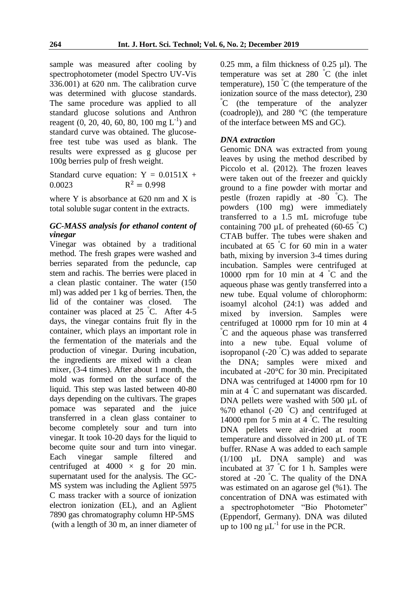sample was measured after cooling by spectrophotometer (model Spectro UV-Vis 336.001) at 620 nm. The calibration curve was determined with glucose standards. The same procedure was applied to all standard glucose solutions and Anthron reagent  $(0, 20, 40, 60, 80, 100 \text{ mg } L^{-1})$  and standard curve was obtained. The glucosefree test tube was used as blank. The results were expressed as g glucose per 100g berries pulp of fresh weight.

Standard curve equation:  $Y = 0.0151X +$ 0.0023  $R^2 = 0.998$ 

where Y is absorbance at 620 nm and X is total soluble sugar content in the extracts.

# *GC-MASS analysis for ethanol content of vinegar*

Vinegar was obtained by a traditional method. The fresh grapes were washed and berries separated from the peduncle, cap stem and rachis. The berries were placed in a clean plastic container. The water (150 ml) was added per 1 kg of berries. Then, the lid of the container was closed. The container was placed at 25 °C. After 4-5 days, the vinegar contains fruit fly in the container, which plays an important role in the fermentation of the materials and the production of vinegar. During incubation, the ingredients are mixed with a clean mixer, (3-4 times). After about 1 month, the mold was formed on the surface of the liquid. This step was lasted between 40-80 days depending on the cultivars. The grapes pomace was separated and the juice transferred in a clean glass container to become completely sour and turn into vinegar. It took 10-20 days for the liquid to become quite sour and turn into vinegar. Each vinegar sample filtered and centrifuged at  $4000 \times g$  for 20 min. supernatant used for the analysis. The GC-MS system was including the Aglient 5975 C mass tracker with a source of ionization electron ionization (EL), and an Aglient 7890 gas chromatography column HP-5MS (with a length of 30 m, an inner diameter of 0.25 mm, a film thickness of 0.25 µl). The temperature was set at 280 °C (the inlet temperature),  $150^{\circ}$ C (the temperature of the ionization source of the mass detector), 230 °C (the temperature of the analyzer (coadrople)), and 280 °C (the temperature of the interface between MS and GC).

# *DNA extraction*

Genomic DNA was extracted from young leaves by using the method described by Piccolo et al. (2012). The frozen leaves were taken out of the freezer and quickly ground to a fine powder with mortar and pestle (frozen rapidly at -80 °C). The powders (100 mg) were immediately transferred to a 1.5 mL microfuge tube containing 700  $\mu$ L of preheated (60-65 °C) CTAB buffer. The tubes were shaken and incubated at 65 °C for 60 min in a water bath, mixing by inversion 3-4 times during incubation. Samples were centrifuged at 10000 rpm for 10 min at 4 °C and the aqueous phase was gently transferred into a new tube. Equal volume of chlorophorm: isoamyl alcohol (24:1) was added and mixed by inversion. Samples were centrifuged at 10000 rpm for 10 min at 4 °C and the aqueous phase was transferred into a new tube. Equal volume of isopropanol (-20 $\degree$ C) was added to separate the DNA; samples were mixed and incubated at -20°C for 30 min. Precipitated DNA was centrifuged at 14000 rpm for 10 min at 4 °C and supernatant was discarded. DNA pellets were washed with 500 µL of %70 ethanol  $(-20 \degree C)$  and centrifuged at 14000 rpm for 5 min at 4  $\degree$ C. The resulting DNA pellets were air-dried at room temperature and dissolved in 200 µL of TE buffer. RNase A was added to each sample  $(1/100 \quad \text{uL} \quad \text{DNA} \quad \text{sample})$  and was incubated at 37 °C for 1 h. Samples were stored at -20 °C. The quality of the DNA was estimated on an agarose gel (%1). The concentration of DNA was estimated with a spectrophotometer "Bio Photometer" (Eppendorf, Germany). DNA was diluted up to 100 ng  $\mu L^{-1}$  for use in the PCR.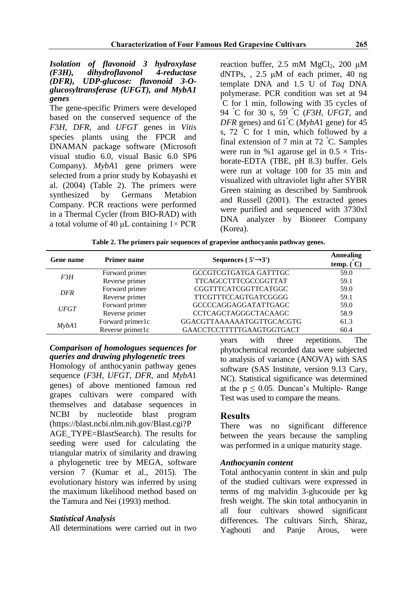### *Isolation of flavonoid 3 hydroxylase*   $dihydroflavonol$ *(DFR), UDP-glucose: flavonoid 3-Oglucosyltransferase (UFGT), and MybA1 genes*

The gene-specific Primers were developed based on the conserved sequence of the *F*3*H*, *DFR*, and *UFGT* genes in *Vitis* species plants using the FPCR and DNAMAN package software (Microsoft visual studio 6.0, visual Basic 6.0 SP6 Company). *MybA*1 gene primers were selected from a prior study by Kobayashi et al. (2004) (Table 2). The primers were synthesized by Germans Metabion Company. PCR reactions were performed in a Thermal Cycler (from BIO-RAD) with a total volume of 40 μL containing  $1 \times PCR$  reaction buffer, 2.5 mM  $MgCl<sub>2</sub>$ , 200 μM dNTPs, , 2.5 μM of each primer, 40 ng template DNA and 1.5 U of *Taq* DNA polymerase. PCR condition was set at 94 °C for 1 min, following with 35 cycles of 94 °C for 30 s, 59 °C (*F*3*H*, *UFGT*, and *DFR* genes) and 61°C (*MybA*1 gene) for 45 s, 72 °C for 1 min, which followed by a final extension of 7 min at 72 °C. Samples were run in %1 agarose gel in  $0.5 \times$  Trisborate-EDTA (TBE, pH 8.3) buffer. Gels were run at voltage 100 for 35 min and visualized with ultraviolet light after SYBR Green staining as described by Sambrook and Russell (2001). The extracted genes were purified and sequenced with 3730xl DNA analyzer by Bioneer Company (Korea).

**Table 2. The primers pair sequences of grapevine anthocyanin pathway genes.**

| Gene name   | <b>Primer name</b> | Sequences ( $5' \rightarrow 3'$ ) | <b>Annealing</b><br>temp. (C) |
|-------------|--------------------|-----------------------------------|-------------------------------|
| F3H         | Forward primer     | GCCGTCGTGATGA GATTTGC             | 59.0                          |
|             | Reverse primer     | TTCAGCCTTTCGCCGGTTAT              | 59.1                          |
| <b>DFR</b>  | Forward primer     | CGGTTTCATCGGTTCATGGC              | 59.0                          |
|             | Reverse primer     | <b>TTCGTTTCCAGTGATCGGGG</b>       | 59.1                          |
| <i>UFGT</i> | Forward primer     | <b>GCCCCAGGAGGATATTGAGC</b>       | 59.0                          |
|             | Reverse primer     | CCTCAGCTAGGGCTACAAGC              | 58.9                          |
| Mvba1       | Forward primer1c   | GGACGTTAAAAAAATGGTTGCACGTG        | 61.3                          |
|             | Reverse primer1c   | GAACCTCCTTTTTGAAGTGGTGACT         | 60.4                          |

# *Comparison of homologues sequences for queries and drawing phylogenetic trees*

Homology of anthocyanin pathway genes sequence (*F*3*H*, *UFGT*, *DFR*, and *MybA*1 genes) of above mentioned famous red grapes cultivars were compared with themselves and database sequences in NCBI by nucleotide blast program (https://blast.ncbi.nlm.nih.gov/Blast.cgi?P AGE\_TYPE=BlastSearch). The results for seeding were used for calculating the triangular matrix of similarity and drawing a phylogenetic tree by MEGA, software version 7 (Kumar et al., 2015). The evolutionary history was inferred by using the maximum likelihood method based on the Tamura and Nei (1993) method.

# *Statistical Analysis*

All determinations were carried out in two

years with three repetitions. The phytochemical recorded data were subjected to analysis of variance (ANOVA) with SAS software (SAS Institute, version 9.13 Cary, NC). Statistical significance was determined at the  $p \le 0.05$ . Duncan's Multiple-Range Test was used to compare the means.

# **Results**

There was no significant difference between the years because the sampling was performed in a unique maturity stage.

# *Anthocyanin content*

Total anthocyanin content in skin and pulp of the studied cultivars were expressed in terms of mg malvidin 3-glucoside per kg fresh weight. The skin total anthocyanin in all four cultivars showed significant differences. The cultivars Sirch, Shiraz, Yaghouti and Panje Arous, were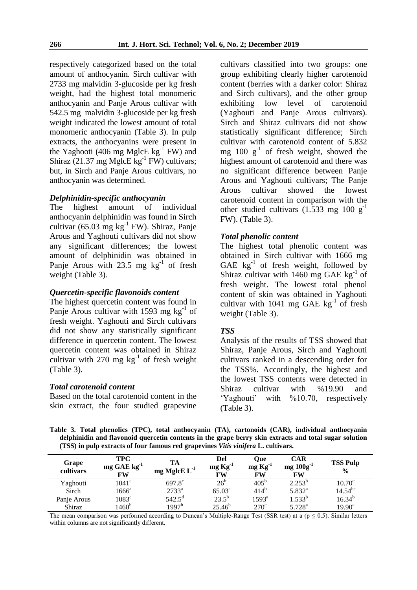respectively categorized based on the total amount of anthocyanin. Sirch cultivar with 2733 mg malvidin 3-glucoside per kg fresh weight, had the highest total monomeric anthocyanin and Panje Arous cultivar with 542.5 mg malvidin 3-glucoside per kg fresh weight indicated the lowest amount of total monomeric anthocyanin (Table 3). In pulp extracts, the anthocyanins were present in the Yaghooti (406 mg MglcE  $kg^{-1}$  FW) and Shiraz (21.37 mg MglcE  $kg^{-1}$  FW) cultivars; but, in Sirch and Panje Arous cultivars, no anthocyanin was determined.

### *Delphinidin-specific anthocyanin*

The highest amount of individual anthocyanin delphinidin was found in Sirch cultivar (65.03 mg  $kg^{-1}$  FW). Shiraz, Panje Arous and Yaghouti cultivars did not show any significant differences; the lowest amount of delphinidin was obtained in Panje Arous with  $23.5 \text{ mg}$  kg<sup>-1</sup> of fresh weight (Table 3).

### *Quercetin-specific flavonoids content*

The highest quercetin content was found in Panje Arous cultivar with 1593 mg  $kg^{-1}$  of fresh weight. Yaghouti and Sirch cultivars did not show any statistically significant difference in quercetin content. The lowest quercetin content was obtained in Shiraz cultivar with 270 mg  $kg^{-1}$  of fresh weight (Table 3).

#### *Total carotenoid content*

Based on the total carotenoid content in the skin extract, the four studied grapevine cultivars classified into two groups: one group exhibiting clearly higher carotenoid content (berries with a darker color: Shiraz and Sirch cultivars), and the other group exhibiting low level of carotenoid (Yaghouti and Panje Arous cultivars). Sirch and Shiraz cultivars did not show statistically significant difference; Sirch cultivar with carotenoid content of 5.832 mg  $100 \text{ g}^{-1}$  of fresh weight, showed the highest amount of carotenoid and there was no significant difference between Panje Arous and Yaghouti cultivars; The Panje Arous cultivar showed the lowest carotenoid content in comparison with the other studied cultivars  $(1.533 \text{ mg } 100 \text{ g}^{-1})$ FW). (Table 3).

#### *Total phenolic content*

The highest total phenolic content was obtained in Sirch cultivar with 1666 mg GAE  $kg^{-1}$  of fresh weight, followed by Shiraz cultivar with 1460 mg GAE  $kg^{-1}$  of fresh weight. The lowest total phenol content of skin was obtained in Yaghouti cultivar with  $1041$  mg GAE  $\text{kg}^{-1}$  of fresh weight (Table 3).

### *TSS*

Analysis of the results of TSS showed that Shiraz, Panje Arous, Sirch and Yaghouti cultivars ranked in a descending order for the TSS%. Accordingly, the highest and the lowest TSS contents were detected in Shiraz cultivar with %19.90 and 'Yaghouti' with %10.70, respectively (Table 3).

**Table 3. Total phenolics (TPC), total anthocyanin (TA), cartonoids (CAR), individual anthocyanin delphinidin and flavonoid quercetin contents in the grape berry skin extracts and total sugar solution (TSS) in pulp extracts of four famous red grapevines** *Vitis vinifera* **L. cultivars.** 

| Grape<br>cultivars | <b>TPC</b><br>$mg$ GAE $kg^{-1}$<br><b>FW</b> | TА<br>mg MglcE $L^{-1}$ | Del<br>$mg\,Kg^{-1}$<br>FW | Oue<br>$mg\,Kg^{-1}$<br>FW | <b>CAR</b><br>$mg 100g^{-1}$<br>FW | <b>TSS Pulp</b><br>$\frac{0}{0}$ |
|--------------------|-----------------------------------------------|-------------------------|----------------------------|----------------------------|------------------------------------|----------------------------------|
| Yaghouti           | $1041^{\circ}$                                | $697.8^{\circ}$         | 26 <sup>b</sup>            | $405^{\circ}$              | $2.253^{b}$                        | $10.70^{\circ}$                  |
| Sirch              | $1666^{\rm a}$                                | $2733^a$                | $65.03^{\rm a}$            | $414^{b}$                  | $5.832^{a}$                        | $14.54^{bc}$                     |
| Panje Arous        | $1083^{\circ}$                                | $542.5^{\rm d}$         | $23.5^{b}$                 | $1593^{\rm a}$             | $1.533^{b}$                        | $16.34^{b}$                      |
| Shiraz             | $1460^b$                                      | 1997 <sup>b</sup>       | $25.46^{b}$                | $270^{\circ}$              | $5.728^{a}$                        | $19.90^{\text{a}}$               |

The mean comparison was performed according to Duncan's Multiple-Range Test (SSR test) at a ( $p \le 0.5$ ). Similar letters within columns are not significantly different.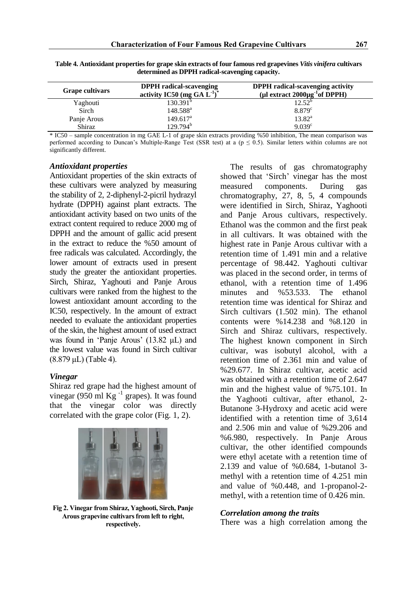| <b>Grape cultivars</b> | <b>DPPH</b> radical-scavenging<br>activity IC50 (mg GA $L^{-1}$ ) <sup>*</sup> | <b>DPPH</b> radical-scavenging activity<br>(µl extract $2000\mu g^{-1}$ of DPPH) |
|------------------------|--------------------------------------------------------------------------------|----------------------------------------------------------------------------------|
| Yaghouti               | 130.391 <sup>b</sup>                                                           | $12.52^{b}$                                                                      |
| Sirch                  | $148.588^{\rm a}$                                                              | $8.879^{\circ}$                                                                  |
| Panje Arous            | $149.617^{\text{a}}$                                                           | $13.82^a$                                                                        |
| Shiraz                 | $129.794^b$                                                                    | $9.039^{\circ}$                                                                  |

**Table 4. Antioxidant properties for grape skin extracts of four famous red grapevines** *Vitis vinifera* **cultivars determined as DPPH radical-scavenging capacity.** 

\* IC50 – sample concentration in mg GAE L-1 of grape skin extracts providing %50 inhibition, The mean comparison was performed according to Duncan's Multiple-Range Test (SSR test) at a ( $p \le 0.5$ ). Similar letters within columns are not significantly different.

#### *Antioxidant properties*

Antioxidant properties of the skin extracts of these cultivars were analyzed by measuring the stability of 2, 2-diphenyl-2-picril hydrazyl hydrate (DPPH) against plant extracts. The antioxidant activity based on two units of the extract content required to reduce 2000 mg of DPPH and the amount of gallic acid present in the extract to reduce the %50 amount of free radicals was calculated. Accordingly, the lower amount of extracts used in present study the greater the antioxidant properties. Sirch, Shiraz, Yaghouti and Panje Arous cultivars were ranked from the highest to the lowest antioxidant amount according to the IC50, respectively. In the amount of extract needed to evaluate the antioxidant properties of the skin, the highest amount of used extract was found in 'Panje Arous' (13.82 μL) and the lowest value was found in Sirch cultivar (8.879 μL) (Table 4).

### *Vinegar*

Shiraz red grape had the highest amount of vinegar (950 ml  $\text{Kg}^{-1}$  grapes). It was found that the vinegar color was directly correlated with the grape color (Fig. 1, 2).



**Fig 2. Vinegar from Shiraz, Yaghooti, Sirch, Panje Arous grapevine cultivars from left to right, respectively.**

The results of gas chromatography showed that 'Sirch' vinegar has the most measured components. During gas chromatography, 27, 8, 5, 4 compounds were identified in Sirch, Shiraz, Yaghooti and Panje Arous cultivars, respectively. Ethanol was the common and the first peak in all cultivars. It was obtained with the highest rate in Panje Arous cultivar with a retention time of 1.491 min and a relative percentage of 98.442. Yaghouti cultivar was placed in the second order, in terms of ethanol, with a retention time of 1.496 minutes and %53.533. The ethanol retention time was identical for Shiraz and Sirch cultivars (1.502 min). The ethanol contents were %14.238 and %8.120 in Sirch and Shiraz cultivars, respectively. The highest known component in Sirch cultivar, was isobutyl alcohol, with a retention time of 2.361 min and value of %29.677. In Shiraz cultivar, acetic acid was obtained with a retention time of 2.647 min and the highest value of %75.101. In the Yaghooti cultivar, after ethanol, 2- Butanone 3-Hydroxy and acetic acid were identified with a retention time of 3,614 and 2.506 min and value of %29.206 and %6.980, respectively. In Panje Arous cultivar, the other identified compounds were ethyl acetate with a retention time of 2.139 and value of %0.684, 1-butanol 3 methyl with a retention time of 4.251 min and value of %0.448, and 1-propanol-2 methyl, with a retention time of 0.426 min.

#### *Correlation among the traits*

There was a high correlation among the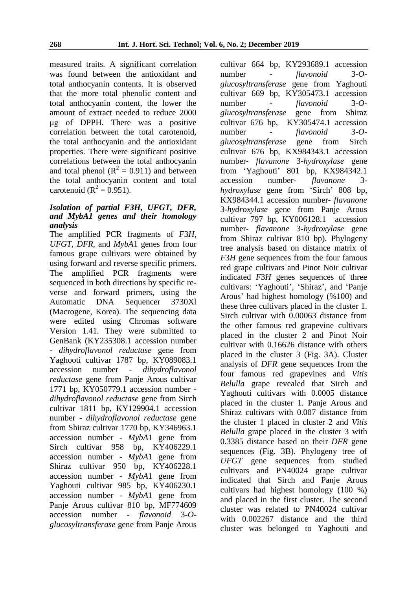measured traits. A significant correlation was found between the antioxidant and total anthocyanin contents. It is observed that the more total phenolic content and total anthocyanin content, the lower the amount of extract needed to reduce 2000 μg of DPPH. There was a positive correlation between the total carotenoid, the total anthocyanin and the antioxidant properties. There were significant positive correlations between the total anthocyanin and total phenol ( $R^2 = 0.911$ ) and between the total anthocyanin content and total carotenoid ( $R^2 = 0.951$ ).

### *Isolation of partial F3H, UFGT, DFR, and MybA1 genes and their homology analysis*

The amplified PCR fragments of *F*3*H*, *UFGT*, *DFR*, and *MybA*1 genes from four famous grape cultivars were obtained by using forward and reverse specific primers. The amplified PCR fragments were sequenced in both directions by specific reverse and forward primers, using the Automatic DNA Sequencer 3730Xl (Macrogene, Korea). The sequencing data were edited using Chromas software Version 1.41. They were submitted to GenBank (KY235308.1 accession number - *dihydroflavonol reductase* gene from Yaghooti cultivar 1787 bp, KY089083.1 accession number - *dihydroflavonol reductase* gene from Panje Arous cultivar 1771 bp, KY050779.1 accession number *dihydroflavonol reductase* gene from Sirch cultivar 1811 bp, KY129904.1 accession number - *dihydroflavonol reductase* gene from Shiraz cultivar 1770 bp, KY346963.1 accession number - *MybA*1 gene from Sirch cultivar 958 bp, KY406229.1 accession number - *MybA*1 gene from Shiraz cultivar 950 bp, KY406228.1 accession number - *MybA*1 gene from Yaghouti cultivar 985 bp, KY406230.1 accession number - *MybA*1 gene from Panje Arous cultivar 810 bp, MF774609 accession number - *flavonoid* 3-*Oglucosyltransferase* gene from Panje Arous

cultivar 664 bp, KY293689.1 accession number - *flavonoid* 3-*Oglucosyltransferase* gene from Yaghouti cultivar 669 bp, KY305473.1 accession number - *flavonoid* 3-*Oglucosyltransferase* gene from Shiraz cultivar 676 bp, KY305474.1 accession number - *flavonoid* 3-*Oglucosyltransferase* gene from Sirch cultivar 676 bp, KX984343.1 accession number- *flavanone* 3-*hydroxylase* gene from 'Yaghouti' 801 bp, KX984342.1 accession number- *flavanone* 3 *hydroxylase* gene from 'Sirch' 808 bp, KX984344.1 accession number- *flavanone* 3-*hydroxylase* gene from Panje Arous cultivar 797 bp, KY006128.1 accession number- *flavanone* 3-*hydroxylase* gene from Shiraz cultivar 810 bp). Phylogeny tree analysis based on distance matrix of *F*3*H* gene sequences from the four famous red grape cultivars and Pinot Noir cultivar indicated *F*3*H* genes sequences of three cultivars: 'Yaghouti', 'Shiraz', and 'Panje Arous' had highest homology (%100) and these three cultivars placed in the cluster 1. Sirch cultivar with 0.00063 distance from the other famous red grapevine cultivars placed in the cluster 2 and Pinot Noir cultivar with 0.16626 distance with others placed in the cluster 3 (Fig. 3A). Cluster analysis of *DFR* gene sequences from the four famous red grapevines and *Vitis Belulla* grape revealed that Sirch and Yaghouti cultivars with 0.0005 distance placed in the cluster 1. Panje Arous and Shiraz cultivars with 0.007 distance from the cluster 1 placed in cluster 2 and *Vitis Belulla* grape placed in the cluster 3 with 0.3385 distance based on their *DFR* gene sequences (Fig. 3B). Phylogeny tree of *UFGT* gene sequences from studied cultivars and PN40024 grape cultivar indicated that Sirch and Panje Arous cultivars had highest homology (100 %) and placed in the first cluster. The second cluster was related to PN40024 cultivar with 0.002267 distance and the third cluster was belonged to Yaghouti and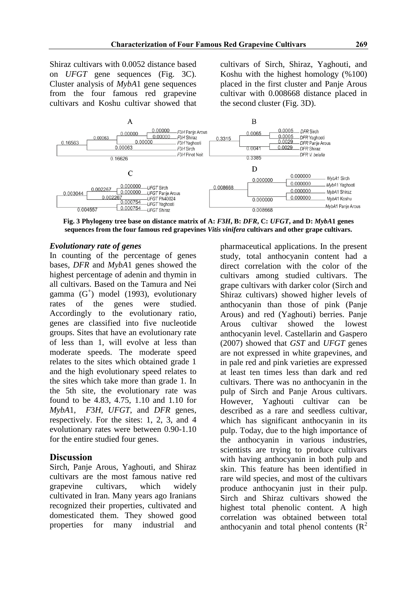Shiraz cultivars with 0.0052 distance based on *UFGT* gene sequences (Fig. 3C). Cluster analysis of *MybA*1 gene sequences from the four famous red grapevine cultivars and Koshu cultivar showed that cultivars of Sirch, Shiraz, Yaghouti, and Koshu with the highest homology (%100) placed in the first cluster and Panje Arous cultivar with 0.008668 distance placed in the second cluster (Fig. 3D).



**Fig. 3 Phylogeny tree base on distance matrix of A:** *F***3***H***, B:** *DFR***, C:** *UFGT***, and D:** *MybA***1 genes sequences from the four famous red grapevines** *Vitis vinifera* **cultivars and other grape cultivars.**

### *Evolutionary rate of genes*

In counting of the percentage of genes bases, *DFR* and *MybA*1 genes showed the highest percentage of adenin and thymin in all cultivars. Based on the Tamura and Nei gamma (G<sup>+</sup>) model (1993), evolutionary rates of the genes were studied. Accordingly to the evolutionary ratio, genes are classified into five nucleotide groups. Sites that have an evolutionary rate of less than 1, will evolve at less than moderate speeds. The moderate speed relates to the sites which obtained grade 1 and the high evolutionary speed relates to the sites which take more than grade 1. In the 5th site, the evolutionary rate was found to be 4.83, 4.75, 1.10 and 1.10 for *MybA*1, *F*3*H, UFGT*, and *DFR* genes, respectively. For the sites: 1, 2, 3, and 4 evolutionary rates were between 0.90-1.10 for the entire studied four genes.

### **Discussion**

Sirch, Panje Arous, Yaghouti, and Shiraz cultivars are the most famous native red grapevine cultivars, which widely cultivated in Iran. Many years ago Iranians recognized their properties, cultivated and domesticated them. They showed good properties for many industrial and pharmaceutical applications. In the present study, total anthocyanin content had a direct correlation with the color of the cultivars among studied cultivars. The grape cultivars with darker color (Sirch and Shiraz cultivars) showed higher levels of anthocyanin than those of pink (Panje Arous) and red (Yaghouti) berries. Panje Arous cultivar showed the lowest anthocyanin level. Castellarin and Gaspero (2007) showed that *GST* and *UFGT* genes are not expressed in white grapevines, and in pale red and pink varieties are expressed at least ten times less than dark and red cultivars. There was no anthocyanin in the pulp of Sirch and Panje Arous cultivars. However, Yaghouti cultivar can be described as a rare and seedless cultivar, which has significant anthocyanin in its pulp. Today, due to the high importance of the anthocyanin in various industries, scientists are trying to produce cultivars with having anthocyanin in both pulp and skin. This feature has been identified in rare wild species, and most of the cultivars produce anthocyanin just in their pulp. Sirch and Shiraz cultivars showed the highest total phenolic content. A high correlation was obtained between total anthocyanin and total phenol contents  $(R^2)$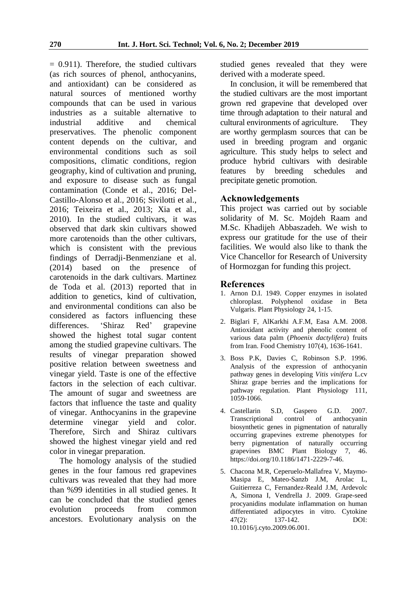$= 0.911$ ). Therefore, the studied cultivars (as rich sources of phenol, anthocyanins, and antioxidant) can be considered as natural sources of mentioned worthy compounds that can be used in various industries as a suitable alternative to industrial additive and chemical preservatives. The phenolic component content depends on the cultivar, and environmental conditions such as soil compositions, climatic conditions, region geography, kind of cultivation and pruning, and exposure to disease such as fungal contamination (Conde et al., 2016; Del-Castillo-Alonso et al., 2016; Sivilotti et al., 2016; Teixeira et al., 2013; Xia et al., 2010). In the studied cultivars, it was observed that dark skin cultivars showed more carotenoids than the other cultivars, which is consistent with the previous findings of Derradji-Benmenziane et al. (2014) based on the presence of carotenoids in the dark cultivars. Martinez de Toda et al. (2013) reported that in addition to genetics, kind of cultivation, and environmental conditions can also be considered as factors influencing these differences. 'Shiraz Red' grapevine showed the highest total sugar content among the studied grapevine cultivars. The results of vinegar preparation showed positive relation between sweetness and vinegar yield. Taste is one of the effective factors in the selection of each cultivar. The amount of sugar and sweetness are factors that influence the taste and quality of vinegar. Anthocyanins in the grapevine determine vinegar yield and color. Therefore, Sirch and Shiraz cultivars showed the highest vinegar yield and red color in vinegar preparation.

The homology analysis of the studied genes in the four famous red grapevines cultivars was revealed that they had more than %99 identities in all studied genes. It can be concluded that the studied genes evolution proceeds from common ancestors. Evolutionary analysis on the studied genes revealed that they were derived with a moderate speed.

In conclusion, it will be remembered that the studied cultivars are the most important grown red grapevine that developed over time through adaptation to their natural and cultural environments of agriculture. They are worthy germplasm sources that can be used in breeding program and organic agriculture. This study helps to select and produce hybrid cultivars with desirable features by breeding schedules and precipitate genetic promotion.

# **Acknowledgements**

This project was carried out by sociable solidarity of M. Sc. Mojdeh Raam and M.Sc. Khadijeh Abbaszadeh. We wish to express our gratitude for the use of their facilities. We would also like to thank the Vice Chancellor for Research of University of Hormozgan for funding this project.

# **References**

- 1. Arnon D.I. 1949. Copper enzymes in isolated chloroplast. Polyphenol oxidase in Beta Vulgaris. Plant Physiology 24, 1-15.
- 2. Biglari F, AlKarkhi A.F.M, Easa A.M. 2008. Antioxidant activity and phenolic content of various data palm (*Phoenix dactylifera*) fruits from Iran. Food Chemistry 107(4), 1636-1641.
- 3. Boss P.K, Davies C, Robinson S.P. 1996. Analysis of the expression of anthocyanin pathway genes in developing *Vitis vinifera* L.cv Shiraz grape berries and the implications for pathway regulation. Plant Physiology 111, 1059-1066.
- 4. Castellarin S.D, Gaspero G.D. 2007. Transcriptional control of anthocyanin biosynthetic genes in pigmentation of naturally occurring grapevines extreme phenotypes for berry pigmentation of naturally occurring grapevines BMC Plant Biology 7, 46. https://doi.org/10.1186/1471-2229-7-46.
- 5. Chacona M.R, Ceperuelo-Mallafrea V, Maymo-Masipa E, Mateo-Sanzb J.M, Arolac L, Guitierreza C, Fernandez-Reald J.M, Ardevolc A, Simona I, Vendrella J. 2009. Grape-seed procyanidins modulate inflammation on human differentiated adipocytes in vitro. Cytokine 47(2): 137-142. DOI: 10.1016/j.cyto.2009.06.001.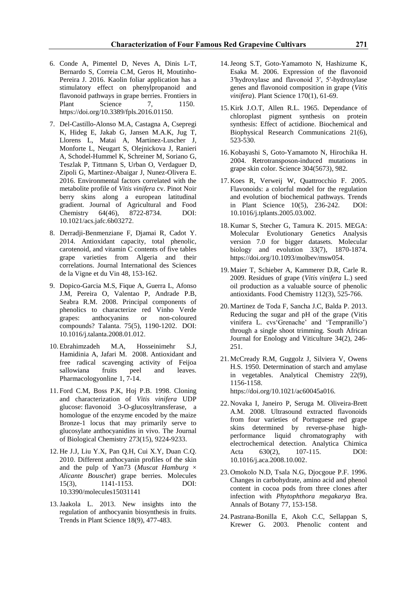- 6. Conde A, Pimentel D, Neves A, Dinis L-T, Bernardo S, Correia C.M, Geros H, Moutinho-Pereira J. 2016. Kaolin foliar application has a stimulatory effect on phenylpropanoid and flavonoid pathways in grape berries. Frontiers in Plant Science 7, 1150. https://doi.org/10.3389/fpls.2016.01150.
- 7. Del-Castillo-Alonso M.A, Castagna A, Csepregi K, Hideg E, Jakab G, Jansen M.A.K, Jug T, Llorens L, Matai A, Martinez-Luscher J, Monforte L, Neugart S, Olejnickova J, Ranieri A, Schodel-Hummel K, Schreiner M, Soriano G, Teszlak P, Tittmann S, Urban O, Verdaguer D, Zipoli G, Martinez-Abaigar J, Nunez-Olivera E. 2016. Environmental factors correlated with the metabolite profile of *Vitis vinifera* cv. Pinot Noir berry skins along a european latitudinal gradient. Journal of Agricultural and Food Chemistry 64(46), 8722-8734. DOI: 10.1021/acs.jafc.6b03272.
- 8. Derradji-Benmenziane F, Djamai R, Cadot Y. 2014. Antioxidant capacity, total phenolic, carotenoid, and vitamin C contents of five tables grape varieties from Algeria and their correlations. Journal International des Sciences de la Vigne et du Vin 48, 153-162.
- 9. Dopico-Garcia M.S, Fique A, Guerra L, Afonso J.M, Pereira O, Valentao P, Andrade P.B, Seabra R.M. 2008. Principal components of phenolics to characterize red Vinho Verde grapes: anthocyanins or non-coloured compounds? Talanta. 75(5), 1190-1202. DOI: 10.1016/j.talanta.2008.01.012.
- 10. Ebrahimzadeh M.A, Hosseinimehr S.J, Hamidinia A, Jafari M. 2008. Antioxidant and free radical scavenging activity of Feijoa sallowiana fruits peel and leaves. Pharmacologyonline 1, 7-14.
- 11. Ford C.M, Boss P.K, Hoj P.B. 1998. Cloning and characterization of *Vitis vinifera* UDP glucose: flavonoid 3-O-glucosyltransferase, a homologue of the enzyme encoded by the maize Bronze-1 locus that may primarily serve to glucosylate anthocyanidins in vivo. The Journal of Biological Chemistry 273(15), 9224-9233.
- 12. He J.J, Liu Y.X, Pan Q.H, Cui X.Y, Duan C.Q. 2010. Different anthocyanin profiles of the skin and the pulp of Yan73 (*Muscat Hamburg*  $\times$ *Alicante Bouschet*) grape berries. Molecules 15(3), 1141-1153. DOI: 10.3390/molecules15031141
- 13.Jaakola L. 2013. New insights into the regulation of anthocyanin biosynthesis in fruits. Trends in Plant Science 18(9), 477-483.
- 14.Jeong S.T, Goto-Yamamoto N, Hashizume K, Esaka M. 2006. Expression of the flavonoid 3′hydroxylase and flavonoid 3′, 5′-hydroxylase genes and flavonoid composition in grape (*Vitis vinifera*). Plant Science 170(1), 61-69.
- 15. Kirk J.O.T, Allen R.L. 1965. Dependance of chloroplast pigment synthesis on protein synthesis: Effect of actidione. Biochemical and Biophysical Research Communications 21(6), 523-530.
- 16. Kobayashi S, Goto-Yamamoto N, Hirochika H. 2004. Retrotransposon-induced mutations in grape skin color. Science 304(5673), 982.
- 17. Koes R, Verweij W, Quattrocchio F. 2005. Flavonoids: a colorful model for the regulation and evolution of biochemical pathways. Trends in Plant Science 10(5), 236-242. DOI: 10.1016/j.tplants.2005.03.002.
- 18. Kumar S, Stecher G, Tamura K. 2015. MEGA: Molecular Evolutionary Genetics Analysis version 7.0 for bigger datasets. Molecular biology and evolution 33(7), 1870-1874. https://doi.org/10.1093/molbev/msw054.
- 19. Maier T, Schieber A, Kammerer D.R, Carle R. 2009. Residues of grape (*Vitis vinifera* L.) seed oil production as a valuable source of phenolic antioxidants. Food Chemistry 112(3), 525-766.
- 20. Martinez de Toda F, Sancha J.C, Balda P. 2013. Reducing the sugar and pH of the grape (Vitis vinifera L. cvs'Grenache' and 'Tempranillo') through a single shoot trimming. South African Journal for Enology and Viticulture 34(2), 246- 251.
- 21. McCready R.M, Guggolz J, Silviera V, Owens H.S. 1950. Determination of starch and amylase in vegetables. Analytical Chemistry 22(9), 1156-1158. https://doi.org/10.1021/ac60045a016.
- 22. Novaka I, Janeiro P, Seruga M. Oliveira-Brett A.M. 2008. Ultrasound extracted flavonoids from four varieties of Portuguese red grape skins determined by reverse-phase highperformance liquid chromatography with electrochemical detection. Analytica Chimica Acta 630(2), 107-115. DOI: 10.1016/j.aca.2008.10.002.
- 23. Omokolo N.D, Tsala N.G, Djocgoue P.F. 1996. Changes in carbohydrate, amino acid and phenol content in cocoa pods from three clones after infection with *Phytophthora megakarya* Bra. Annals of Botany 77, 153-158.
- 24. Pastrana-Bonilla E, Akoh C.C, Sellappan S, Krewer G. 2003. Phenolic content and